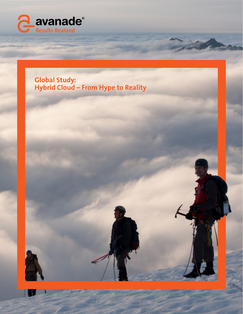

## **Global Study: Hybrid Cloud – From Hype to Reality**

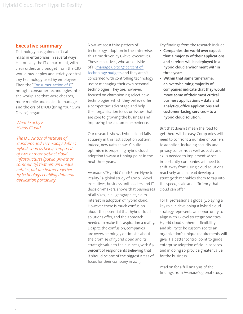#### **Executive summary**

Technology has gained critical mass in enterprises in several ways. Historically the IT department, with clear orders and budget from the CIO, would buy, deploy and strictly control any technology used by employees. Then the "[Consumerization of IT"](http://www.avanade.com/en-us/approach/research/Pages/it-without-boundaries.aspx) brought consumer technologies into the workplace that were cheaper, more mobile and easier to manage, and the era of BYOD (Bring Your Own Device) began.

#### *What Exactly is Hybrid Cloud?*

*The U.S. National Institute of Standards and Technology defines hybrid cloud as being composed of two or more distinct cloud infrastructures (public, private or community) that remain unique entities, but are bound together by technology enabling data and application portability.*

Now we see a third pattern of technology adoption in the enterprise, this time driven by C-level executives. These executives, who are outside of IT, [manage up to 37 percent of](http://www.avanade.com/en-us/approach/research/Pages/it-without-boundaries.aspx)  [technology budgets](http://www.avanade.com/en-us/approach/research/Pages/it-without-boundaries.aspx) and they aren't concerned with controlling technology use or managing their own personal technologies. They are, however, focused on championing select new technologies, which they believe offer a competitive advantage and help their organization focus on issues that are core to growing the business and improving the customer experience.

Our research shows hybrid cloud falls squarely in this last adoption pattern. Indeed, new data shows C-suite optimism is propelling hybrid cloud adoption toward a tipping point in the next three years.

Avanade's "Hybrid Cloud: From Hype to Reality," a global study of 1,000 C-level executives, business unit leaders and IT decision-makers, shows that businesses of all sizes, in all geographies, claim interest in adoption of hybrid cloud. However, there is much confusion about the potential that hybrid cloud solutions offer, and the approach needed to make this aspiration a reality. Despite the confusion, companies are overwhelmingly optimistic about the promise of hybrid cloud and its strategic value to the business, with 69 percent of respondents believing that it should be one of the biggest areas of focus for their company in 2015.

Key findings from the research include:

- **• Companies the world over expect that a majority of their applications and services will be deployed in a hybrid cloud environment within three years.**
- **• Within that same timeframe, an overwhelming majority of companies indicate that they would move some of their most critical business applications – data and analytics, office applications and customer-facing services – to a hybrid cloud solution.**

But that doesn't mean the road to get there will be easy. Companies will need to confront a number of barriers to adoption, including security and privacy concerns as well as costs and skills needed to implement. Most importantly, companies will need to shift away from using cloud solutions reactively, and instead develop a strategy that enables them to tap into the speed, scale and efficiency that cloud can offer.

For IT professionals globally, playing a key role in developing a hybrid cloud strategy represents an opportunity to align with C-level strategic priorities. Hybrid cloud's inherent flexibility and ability to be customized to an organization's unique requirements will give IT a better control point to guide enterprise adoption of cloud services – and in doing so, provide greater value for the business.

Read on for a full analysis of the findings from Avanade's global study.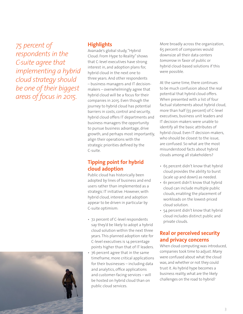*75 percent of respondents in the C-suite agree that implementing a hybrid cloud strategy should be one of their biggest areas of focus in 2015.* 

#### **Highlights**

Avanade's global study, "Hybrid Cloud: From Hype to Reality" shows that C-level executives have strong interest in, and adoption plans for, hybrid cloud in the next one to three years. And other respondents – business managers and IT decisionmakers – overwhelmingly agree that hybrid cloud will be a focus for their companies in 2015. Even though the journey to hybrid cloud has potential barriers in costs, control and security, hybrid cloud offers IT departments and business managers the opportunity to pursue business advantage, drive growth, and perhaps most importantly, align their operations with the strategic priorities defined by the C-suite.

## **Tipping point for hybrid cloud adoption**

Public cloud has historically been adopted by lines of business and end users rather than implemented as a strategic IT initiative. However, with hybrid cloud, interest and adoption appear to be driven in particular by C-suite optimism:

- 72 percent of C-level respondents say they'd be likely to adopt a hybrid cloud solution within the next three years. This planned adoption rate for C-level executives is 14 percentage points higher than that of IT leaders.
- 76 percent agree that in the same timeframe, more critical applications for their businesses – including data and analytics, office applications and customer-facing services – will be hosted on hybrid cloud than on public cloud services.

More broadly across the organization, 65 percent of companies would downsize all their data centers *tomorrow* in favor of public or hybrid cloud-based solutions if this were possible.

At the same time, there continues to be much confusion about the real potential that hybrid cloud offers. When presented with a list of four factual statements about hybrid cloud, more than half (55 percent) of C-level executives, business unit leaders and IT decision-makers were unable to identify all the basic attributes of hybrid cloud. Even IT decision-makers, who should be closest to the issue, are confused. So what are the most misunderstood facts about hybrid clouds among all stakeholders?

- 65 percent didn't know that hybrid cloud provides the ability to burst (scale up and down) as needed.
- 61 percent didn't know that hybrid cloud can include multiple public clouds, enabling the placement of workloads on the lowest-priced cloud solution.
- 54 percent didn't know that hybrid cloud includes distinct public and private clouds.

### **Real or perceived security and privacy concerns**

When cloud computing was introduced, companies took time to adjust. Many were confused about what the cloud was, and whether or not they could trust it. As hybrid hype becomes a business reality, what are the likely challenges on the road to hybrid?

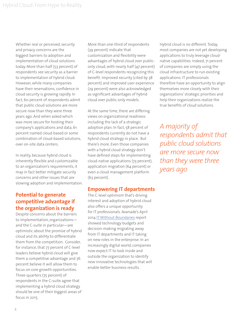Whether real or perceived, security and privacy concerns are the biggest barriers to adoption and implementation of cloud solutions today. More than half (53 percent) of respondents see security as a barrier to implementation of hybrid cloud. However, while many companies have their reservations, confidence in cloud security is growing rapidly. In fact, 60 percent of respondents admit that public cloud solutions are more secure now than they were three years ago. And when asked which was more secure for hosting their company's applications and data, 61 percent named cloud-based or some combination of cloud-based solutions, over on-site data centers.

In reality, because hybrid cloud is inherently flexible and customizable to an organization's requirements, it may in fact better mitigate security concerns and other issues that are slowing adoption and implementation.

#### **Potential to generate competitive advantage if the organization is ready**

Despite concerns about the barriers to implementation, organizations and the C-suite in particular—are optimistic about the promise of hybrid cloud and its ability to differentiate them from the competition. Consider, for instance, that 77 percent of C-level leaders believe hybrid cloud will give them a competitive advantage and 76 percent believe it will allow them to focus on core growth opportunities. Three-quarters (75 percent) of respondents in the C-suite agree that implementing a hybrid cloud strategy should be one of their biggest areas of focus in 2015.

More than one-third of respondents (39 percent) indicate that customization and flexibility were advantages of hybrid cloud over publiconly cloud, with nearly half (47 percent) of C-level respondents recognizing this benefit. Improved security (cited by 38 percent) and improved user experience (29 percent) were also acknowledged as significant advantages of hybrid cloud over public-only models.

At the same time, there are differing views on organizational readiness including the lack of a strategic adoption plan. In fact, 58 percent of respondents currently do not have a hybrid cloud strategy in place. But there's more. Even those companies with a hybrid cloud strategy don't have defined steps for implementing cloud-native applications (73 percent), application migration (64 percent) or even a cloud management platform (63 percent).

#### **Empowering IT departments**

The C-level optimism that's driving interest and adoption of hybrid cloud also offers a unique opportunity for IT professionals. Avanade's April 2014 [IT Without Boundaries](http://www.avanade.com/en-us/services/it-without-boundaries/pages/it-without-boundaries.aspx) report showed technology budgets and decision-making migrating away from IT departments and IT taking on new roles in the enterprise. In an increasingly digital world, companies now expect IT to look inside and outside the organization to identify new innovative technologies that will enable better business results.

Hybrid cloud is no different. Today, most companies are not yet developing applications to truly leverage cloudnative capabilities. Indeed, 71 percent of companies are simply using the cloud infrastructure to run existing applications. IT professionals therefore have an opportunity to align themselves more closely with their organizations' strategic priorities and help their organizations realize the true benefits of cloud solutions.

*A majority of respondents admit that public cloud solutions are more secure now than they were three years ago*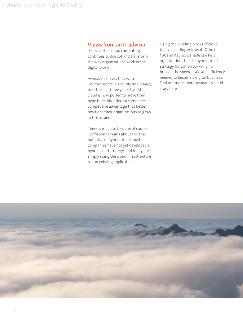#### **Views from an IT adviser**

It's clear that cloud computing continues to disrupt and transform the way organizations work in the digital world.

Avanade believes that with improvements in security and privacy over the last three years, hybrid cloud is now poised to move from hype to reality, offering companies a competitive advantage that better positions their organizations to grow in the future.

There is much to be done of course. Confusion remains about the true potential of hybrid cloud; most companies have not yet developed a hybrid cloud strategy; and many are simply using the cloud infrastructure to run existing applications.

Using the building blocks of cloud today including Microsoft Office 365 and Azure, Avanade can help organizations build a hybrid cloud strategy for tomorrow, which will provide the speed, scale and efficiency needed to become a digital business. Find out more about Avanade's cloud story [here.](www.avanade.com/hybridcloud)

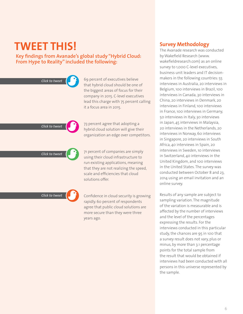# **TWEET THIS!**

#### **Key findings from Avanade's global study "Hybrid Cloud: From Hype to Reality" included the following:**

| <b>Click to tweet</b> | 69 percent of executives believe<br>that hybrid cloud should be one of<br>the biggest areas of focus for their<br>company in 2015. C-level executives<br>lead this charge with 75 percent calling<br>it a focus area in 2015. |
|-----------------------|-------------------------------------------------------------------------------------------------------------------------------------------------------------------------------------------------------------------------------|
| <b>Click to tweet</b> | 73 percent agree that adopting a<br>hybrid cloud solution will give their<br>organization an edge over competitors.                                                                                                           |
| <b>Click to tweet</b> | 71 percent of companies are simply<br>using their cloud infrastructure to<br>run existing applications, meaning<br>that they are not realizing the speed,<br>scale and efficiencies that cloud<br>solutions offer.            |
| <b>Click to tweet</b> | Confidence in cloud security is growing<br>rapidly. 60 percent of respondents<br>agree that public cloud solutions are<br>more secure than they were three                                                                    |

years ago.

#### **Survey Methodology**

The Avanade research was conducted by Wakefield Research (www. wakefieldresearch.com) as an online survey to 1,000 C-level executives, business unit leaders and IT decisionmakers in the following countries: 55 interviews in Australia, 20 interviews in Belgium, 100 interviews in Brazil, 100 interviews in Canada, 30 interviews in China, 20 interviews in Denmark, 20 interviews in Finland, 100 interviews in France, 100 interviews in Germany, 50 interviews in Italy, 30 interviews in Japan, 45 interviews in Malaysia, 20 interviews in the Netherlands, 20 interviews in Norway, 60 interviews in Singapore, 20 interviews in South Africa, 40 interviews in Spain, 20 interviews in Sweden, 10 interviews in Switzerland, 40 interviews in the United Kingdom, and 100 interviews in the United States. The survey was conducted between October 8 and 23, 2014 using an email invitation and an online survey.

Results of any sample are subject to sampling variation. The magnitude of the variation is measurable and is affected by the number of interviews and the level of the percentages expressing the results. For the interviews conducted in this particular study, the chances are 95 in 100 that a survey result does not vary, plus or minus, by more than 3.1 percentage points for the total sample from the result that would be obtained if interviews had been conducted with all persons in this universe represented by the sample.